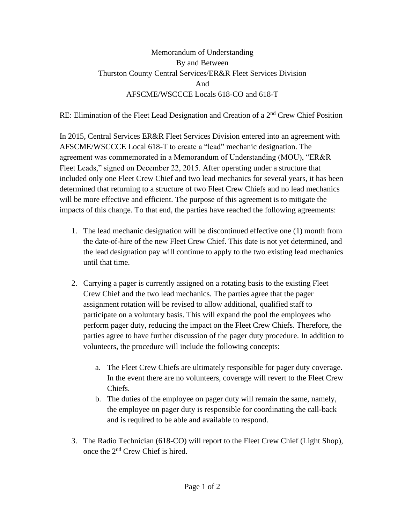## Memorandum of Understanding By and Between Thurston County Central Services/ER&R Fleet Services Division And AFSCME/WSCCCE Locals 618-CO and 618-T

RE: Elimination of the Fleet Lead Designation and Creation of a  $2<sup>nd</sup>$  Crew Chief Position

In 2015, Central Services ER&R Fleet Services Division entered into an agreement with AFSCME/WSCCCE Local 618-T to create a "lead" mechanic designation. The agreement was commemorated in a Memorandum of Understanding (MOU), "ER&R Fleet Leads," signed on December 22, 2015. After operating under a structure that included only one Fleet Crew Chief and two lead mechanics for several years, it has been determined that returning to a structure of two Fleet Crew Chiefs and no lead mechanics will be more effective and efficient. The purpose of this agreement is to mitigate the impacts of this change. To that end, the parties have reached the following agreements:

- 1. The lead mechanic designation will be discontinued effective one (1) month from the date-of-hire of the new Fleet Crew Chief. This date is not yet determined, and the lead designation pay will continue to apply to the two existing lead mechanics until that time.
- 2. Carrying a pager is currently assigned on a rotating basis to the existing Fleet Crew Chief and the two lead mechanics. The parties agree that the pager assignment rotation will be revised to allow additional, qualified staff to participate on a voluntary basis. This will expand the pool the employees who perform pager duty, reducing the impact on the Fleet Crew Chiefs. Therefore, the parties agree to have further discussion of the pager duty procedure. In addition to volunteers, the procedure will include the following concepts:
	- a. The Fleet Crew Chiefs are ultimately responsible for pager duty coverage. In the event there are no volunteers, coverage will revert to the Fleet Crew Chiefs.
	- b. The duties of the employee on pager duty will remain the same, namely, the employee on pager duty is responsible for coordinating the call-back and is required to be able and available to respond.
- 3. The Radio Technician (618-CO) will report to the Fleet Crew Chief (Light Shop), once the 2nd Crew Chief is hired.